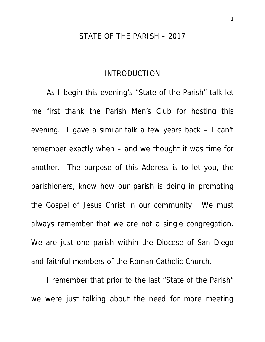#### STATE OF THE PARISH – 2017

## INTRODUCTION

As I begin this evening's "State of the Parish" talk let me first thank the Parish Men's Club for hosting this evening. I gave a similar talk a few years back – I can't remember exactly when – and we thought it was time for another. The purpose of this Address is to let you, the parishioners, know how our parish is doing in promoting the Gospel of Jesus Christ in our community. We must always remember that we are not a single congregation. We are just one parish within the Diocese of San Diego and faithful members of the Roman Catholic Church.

I remember that prior to the last "State of the Parish" we were just talking about the need for more meeting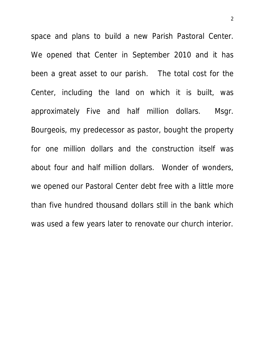space and plans to build a new Parish Pastoral Center. We opened that Center in September 2010 and it has been a great asset to our parish. The total cost for the Center, including the land on which it is built, was approximately Five and half million dollars. Msgr. Bourgeois, my predecessor as pastor, bought the property for one million dollars and the construction itself was about four and half million dollars. Wonder of wonders, we opened our Pastoral Center debt free with a little more than five hundred thousand dollars still in the bank which was used a few years later to renovate our church interior.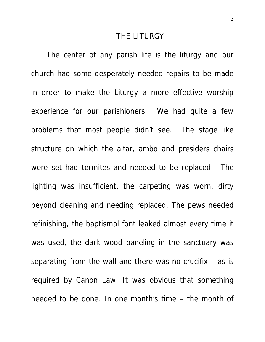### THE LITURGY

The center of any parish life is the liturgy and our church had some desperately needed repairs to be made in order to make the Liturgy a more effective worship experience for our parishioners. We had quite a few problems that most people didn't see. The stage like structure on which the altar, ambo and presiders chairs were set had termites and needed to be replaced. The lighting was insufficient, the carpeting was worn, dirty beyond cleaning and needing replaced. The pews needed refinishing, the baptismal font leaked almost every time it was used, the dark wood paneling in the sanctuary was separating from the wall and there was no crucifix – as is required by Canon Law. It was obvious that something needed to be done. In one month's time – the month of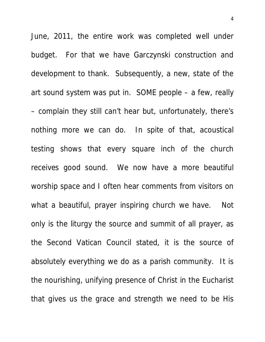June, 2011, the entire work was completed well under budget. For that we have Garczynski construction and development to thank. Subsequently, a new, state of the art sound system was put in. SOME people – a few, really – complain they still can't hear but, unfortunately, there's nothing more we can do. In spite of that, acoustical testing shows that every square inch of the church receives good sound. We now have a more beautiful worship space and I often hear comments from visitors on what a beautiful, prayer inspiring church we have. Not only is the liturgy the source and summit of all prayer, as the Second Vatican Council stated, it is the source of absolutely everything we do as a parish community. It is the nourishing, unifying presence of Christ in the Eucharist that gives us the grace and strength we need to be His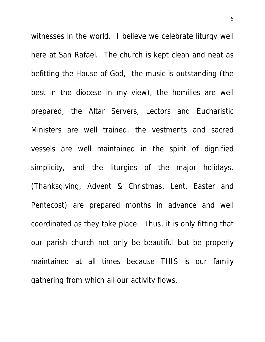witnesses in the world. I believe we celebrate liturgy well here at San Rafael. The church is kept clean and neat as befitting the House of God, the music is outstanding (the best in the diocese in my view), the homilies are well prepared, the Altar Servers, Lectors and Eucharistic Ministers are well trained, the vestments and sacred vessels are well maintained in the spirit of dignified simplicity, and the liturgies of the major holidays, (Thanksgiving, Advent & Christmas, Lent, Easter and Pentecost) are prepared months in advance and well coordinated as they take place. Thus, it is only fitting that our parish church not only be beautiful but be properly maintained at all times because THIS is our family gathering from which all our activity flows.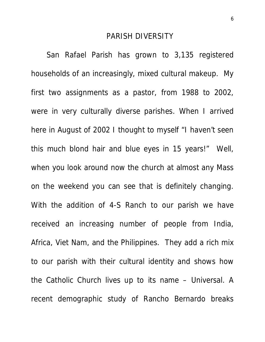#### PARISH DIVERSITY

 San Rafael Parish has grown to 3,135 registered households of an increasingly, mixed cultural makeup. My first two assignments as a pastor, from 1988 to 2002, were in very culturally diverse parishes. When I arrived here in August of 2002 I thought to myself "I haven't seen this much blond hair and blue eyes in 15 years!" Well, when you look around now the church at almost any Mass on the weekend you can see that is definitely changing. With the addition of 4-S Ranch to our parish we have received an increasing number of people from India, Africa, Viet Nam, and the Philippines. They add a rich mix to our parish with their cultural identity and shows how the Catholic Church lives up to its name – Universal. A recent demographic study of Rancho Bernardo breaks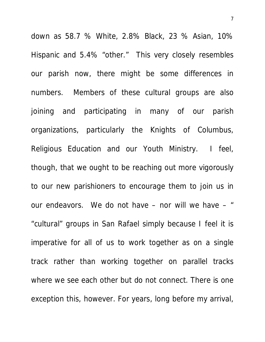down as 58.7 % White, 2.8% Black, 23 % Asian, 10% Hispanic and 5.4% "other." This very closely resembles our parish now, there might be some differences in numbers. Members of these cultural groups are also joining and participating in many of our parish organizations, particularly the Knights of Columbus, Religious Education and our Youth Ministry. I feel, though, that we ought to be reaching out more vigorously to our new parishioners to encourage them to join us in our endeavors. We do not have – nor will we have – " "cultural" groups in San Rafael simply because I feel it is imperative for all of us to work together as on a single track rather than working together on parallel tracks where we see each other but do not connect. There is one exception this, however. For years, long before my arrival,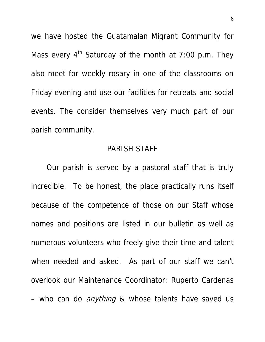we have hosted the Guatamalan Migrant Community for Mass every  $4<sup>th</sup>$  Saturday of the month at 7:00 p.m. They also meet for weekly rosary in one of the classrooms on Friday evening and use our facilities for retreats and social events. The consider themselves very much part of our parish community.

# PARISH STAFF

 Our parish is served by a pastoral staff that is truly incredible. To be honest, the place practically runs itself because of the competence of those on our Staff whose names and positions are listed in our bulletin as well as numerous volunteers who freely give their time and talent when needed and asked. As part of our staff we can't overlook our Maintenance Coordinator: Ruperto Cardenas – who can do *anything* & whose talents have saved us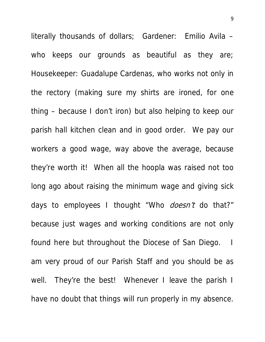literally thousands of dollars; Gardener: Emilio Avila – who keeps our grounds as beautiful as they are; Housekeeper: Guadalupe Cardenas, who works not only in the rectory (making sure my shirts are ironed, for one thing – because I don't iron) but also helping to keep our parish hall kitchen clean and in good order. We pay our workers a good wage, way above the average, because they're worth it! When all the hoopla was raised not too long ago about raising the minimum wage and giving sick days to employees I thought "Who *doesn't* do that?" because just wages and working conditions are not only found here but throughout the Diocese of San Diego. I am very proud of our Parish Staff and you should be as well. They're the best! Whenever I leave the parish I have no doubt that things will run properly in my absence.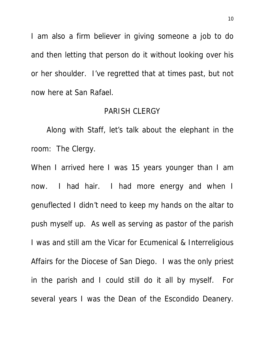I am also a firm believer in giving someone a job to do and then letting that person do it without looking over his or her shoulder. I've regretted that at times past, but not now here at San Rafael.

## PARISH CLERGY

 Along with Staff, let's talk about the elephant in the room: The Clergy.

When I arrived here I was 15 years younger than I am now. I had hair. I had more energy and when I genuflected I didn't need to keep my hands on the altar to push myself up. As well as serving as pastor of the parish I was and still am the Vicar for Ecumenical & Interreligious Affairs for the Diocese of San Diego. I was the only priest in the parish and I could still do it all by myself. For several years I was the Dean of the Escondido Deanery.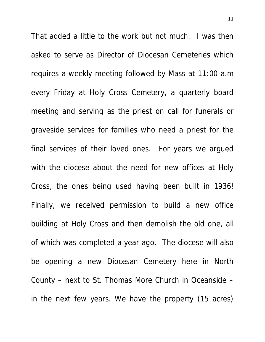That added a little to the work but not much. I was then asked to serve as Director of Diocesan Cemeteries which requires a weekly meeting followed by Mass at 11:00 a.m every Friday at Holy Cross Cemetery, a quarterly board meeting and serving as the priest on call for funerals or graveside services for families who need a priest for the final services of their loved ones. For years we argued with the diocese about the need for new offices at Holy Cross, the ones being used having been built in 1936! Finally, we received permission to build a new office building at Holy Cross and then demolish the old one, all of which was completed a year ago. The diocese will also be opening a new Diocesan Cemetery here in North County – next to St. Thomas More Church in Oceanside – in the next few years. We have the property (15 acres)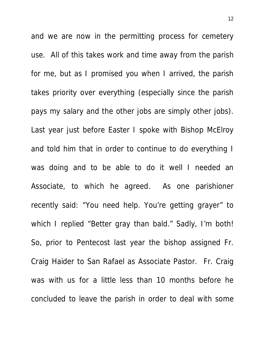and we are now in the permitting process for cemetery use. All of this takes work and time away from the parish for me, but as I promised you when I arrived, the parish takes priority over everything (especially since the parish pays my salary and the other jobs are simply other jobs). Last year just before Easter I spoke with Bishop McElroy and told him that in order to continue to do everything I was doing and to be able to do it well I needed an Associate, to which he agreed. As one parishioner recently said: "You need help. You're getting grayer" to which I replied "Better gray than bald." Sadly, I'm both! So, prior to Pentecost last year the bishop assigned Fr. Craig Haider to San Rafael as Associate Pastor. Fr. Craig was with us for a little less than 10 months before he concluded to leave the parish in order to deal with some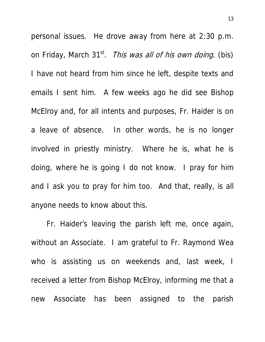personal issues. He drove away from here at 2:30 p.m. on Friday, March 31<sup>st</sup>. *This was all of his own doing*. (bis) I have not heard from him since he left, despite texts and emails I sent him. A few weeks ago he did see Bishop McElroy and, for all intents and purposes, Fr. Haider is on a leave of absence. In other words, he is no longer involved in priestly ministry. Where he is, what he is doing, where he is going I do not know. I pray for him and I ask you to pray for him too. And that, really, is all anyone needs to know about this.

 Fr. Haider's leaving the parish left me, once again, without an Associate. I am grateful to Fr. Raymond Wea who is assisting us on weekends and, last week, I received a letter from Bishop McElroy, informing me that a new Associate has been assigned to the parish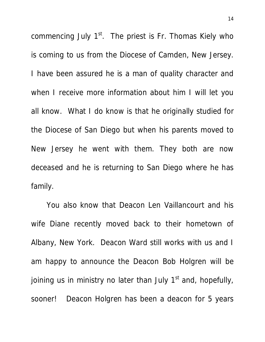commencing July  $1<sup>st</sup>$ . The priest is Fr. Thomas Kiely who is coming to us from the Diocese of Camden, New Jersey. I have been assured he is a man of quality character and when I receive more information about him I will let you all know. What I do know is that he originally studied for the Diocese of San Diego but when his parents moved to New Jersey he went with them. They both are now deceased and he is returning to San Diego where he has family.

 You also know that Deacon Len Vaillancourt and his wife Diane recently moved back to their hometown of Albany, New York. Deacon Ward still works with us and I am happy to announce the Deacon Bob Holgren will be joining us in ministry no later than July  $1<sup>st</sup>$  and, hopefully, sooner! Deacon Holgren has been a deacon for 5 years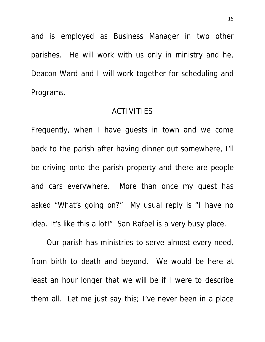and is employed as Business Manager in two other parishes. He will work with us only in ministry and he, Deacon Ward and I will work together for scheduling and Programs.

# ACTIVITIES

Frequently, when I have guests in town and we come back to the parish after having dinner out somewhere, I'll be driving onto the parish property and there are people and cars everywhere. More than once my guest has asked "What's going on?" My usual reply is "I have no idea. It's like this a lot!" San Rafael is a very busy place.

 Our parish has ministries to serve almost every need, from birth to death and beyond. We would be here at least an hour longer that we will be if I were to describe them all. Let me just say this; I've never been in a place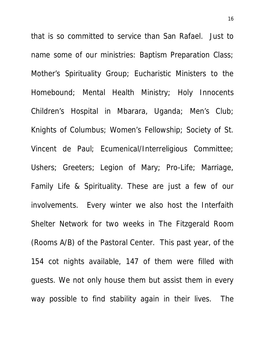that is so committed to service than San Rafael. Just to name some of our ministries: Baptism Preparation Class; Mother's Spirituality Group; Eucharistic Ministers to the Homebound; Mental Health Ministry; Holy Innocents Children's Hospital in Mbarara, Uganda; Men's Club; Knights of Columbus; Women's Fellowship; Society of St. Vincent de Paul; Ecumenical/Interreligious Committee; Ushers; Greeters; Legion of Mary; Pro-Life; Marriage, Family Life & Spirituality. These are just a few of our involvements. Every winter we also host the Interfaith Shelter Network for two weeks in The Fitzgerald Room (Rooms A/B) of the Pastoral Center. This past year, of the 154 cot nights available, 147 of them were filled with guests. We not only house them but assist them in every way possible to find stability again in their lives. The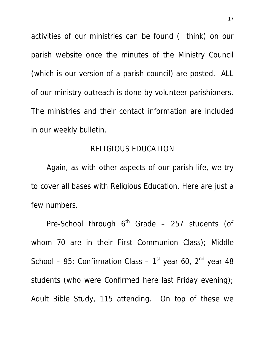activities of our ministries can be found (I think) on our parish website once the minutes of the Ministry Council (which is our version of a parish council) are posted. ALL of our ministry outreach is done by volunteer parishioners. The ministries and their contact information are included in our weekly bulletin.

# RELIGIOUS EDUCATION

 Again, as with other aspects of our parish life, we try to cover all bases with Religious Education. Here are just a few numbers.

Pre-School through  $6<sup>th</sup>$  Grade – 257 students (of whom 70 are in their First Communion Class); Middle School – 95; Confirmation Class –  $1<sup>st</sup>$  year 60,  $2<sup>nd</sup>$  year 48 students (who were Confirmed here last Friday evening); Adult Bible Study, 115 attending. On top of these we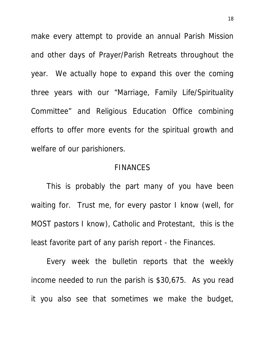make every attempt to provide an annual Parish Mission and other days of Prayer/Parish Retreats throughout the year. We actually hope to expand this over the coming three years with our "Marriage, Family Life/Spirituality Committee" and Religious Education Office combining efforts to offer more events for the spiritual growth and welfare of our parishioners.

## FINANCES

 This is probably the part many of you have been waiting for. Trust me, for every pastor I know (well, for MOST pastors I know), Catholic and Protestant, this is the least favorite part of any parish report - the Finances.

 Every week the bulletin reports that the weekly income needed to run the parish is \$30,675. As you read it you also see that sometimes we make the budget,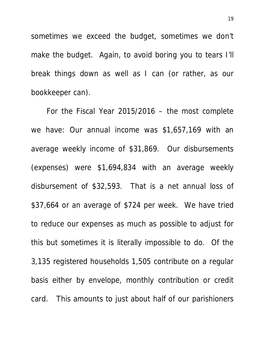sometimes we exceed the budget, sometimes we don't make the budget. Again, to avoid boring you to tears I'll break things down as well as I can (or rather, as our bookkeeper can).

 For the Fiscal Year 2015/2016 – the most complete we have: Our annual income was \$1,657,169 with an average weekly income of \$31,869. Our disbursements (expenses) were \$1,694,834 with an average weekly disbursement of \$32,593. That is a net annual loss of \$37,664 or an average of \$724 per week. We have tried to reduce our expenses as much as possible to adjust for this but sometimes it is literally impossible to do. Of the 3,135 registered households 1,505 contribute on a regular basis either by envelope, monthly contribution or credit card. This amounts to just about half of our parishioners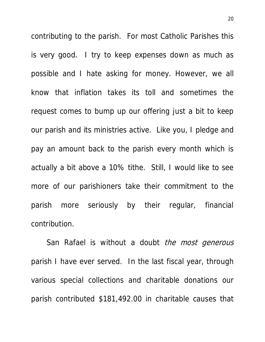contributing to the parish. For most Catholic Parishes this is very good. I try to keep expenses down as much as possible and I hate asking for money. However, we all know that inflation takes its toll and sometimes the request comes to bump up our offering just a bit to keep our parish and its ministries active. Like you, I pledge and pay an amount back to the parish every month which is actually a bit above a 10% tithe. Still, I would like to see more of our parishioners take their commitment to the parish more seriously by their regular, financial contribution.

San Rafael is without a doubt the most generous parish I have ever served. In the last fiscal year, through various special collections and charitable donations our parish contributed \$181,492.00 in charitable causes that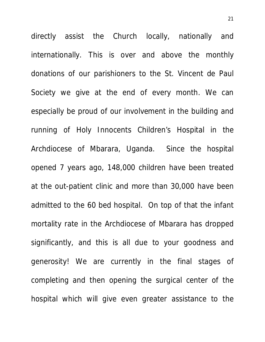directly assist the Church locally, nationally and internationally. This is over and above the monthly donations of our parishioners to the St. Vincent de Paul Society we give at the end of every month. We can especially be proud of our involvement in the building and running of Holy Innocents Children's Hospital in the Archdiocese of Mbarara, Uganda. Since the hospital opened 7 years ago, 148,000 children have been treated at the out-patient clinic and more than 30,000 have been admitted to the 60 bed hospital. On top of that the infant mortality rate in the Archdiocese of Mbarara has dropped significantly, and this is all due to your goodness and generosity! We are currently in the final stages of completing and then opening the surgical center of the hospital which will give even greater assistance to the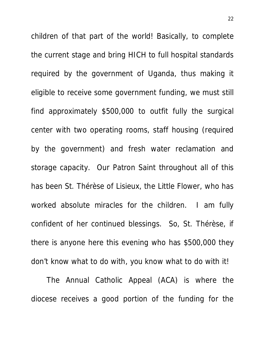children of that part of the world! Basically, to complete the current stage and bring HICH to full hospital standards required by the government of Uganda, thus making it eligible to receive some government funding, we must still find approximately \$500,000 to outfit fully the surgical center with two operating rooms, staff housing (required by the government) and fresh water reclamation and storage capacity. Our Patron Saint throughout all of this has been St. Thérèse of Lisieux, the Little Flower, who has worked absolute miracles for the children. I am fully confident of her continued blessings. So, St. Thérèse, if there is anyone here this evening who has \$500,000 they don't know what to do with, you know what to do with it!

 The Annual Catholic Appeal (ACA) is where the diocese receives a good portion of the funding for the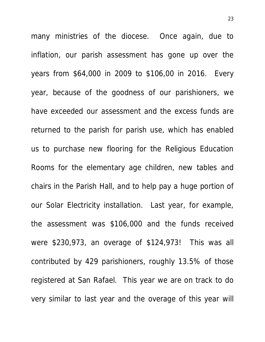many ministries of the diocese. Once again, due to inflation, our parish assessment has gone up over the years from \$64,000 in 2009 to \$106,00 in 2016. Every year, because of the goodness of our parishioners, we have exceeded our assessment and the excess funds are returned to the parish for parish use, which has enabled us to purchase new flooring for the Religious Education Rooms for the elementary age children, new tables and chairs in the Parish Hall, and to help pay a huge portion of our Solar Electricity installation. Last year, for example, the assessment was \$106,000 and the funds received were \$230,973, an overage of \$124,973! This was all contributed by 429 parishioners, roughly 13.5% of those registered at San Rafael. This year we are on track to do very similar to last year and the overage of this year will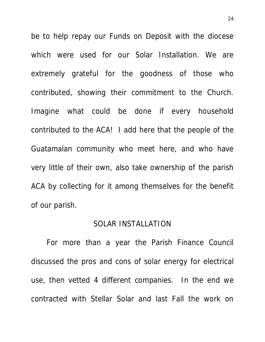be to help repay our Funds on Deposit with the diocese which were used for our Solar Installation. We are extremely grateful for the goodness of those who contributed, showing their commitment to the Church. Imagine what could be done if every household contributed to the ACA! I add here that the people of the Guatamalan community who meet here, and who have very little of their own, also take ownership of the parish ACA by collecting for it among themselves for the benefit of our parish.

### SOLAR INSTALLATION

For more than a year the Parish Finance Council discussed the pros and cons of solar energy for electrical use, then vetted 4 different companies. In the end we contracted with Stellar Solar and last Fall the work on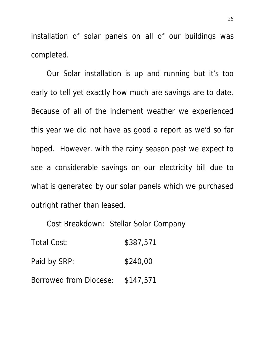installation of solar panels on all of our buildings was completed.

Our Solar installation is up and running but it's too early to tell yet exactly how much are savings are to date. Because of all of the inclement weather we experienced this year we did not have as good a report as we'd so far hoped. However, with the rainy season past we expect to see a considerable savings on our electricity bill due to what is generated by our solar panels which we purchased outright rather than leased.

Cost Breakdown: Stellar Solar Company

Total Cost: \$387,571 Paid by SRP: \$240,00 Borrowed from Diocese: \$147,571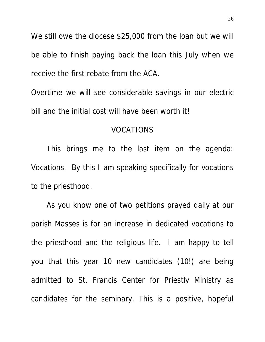We still owe the diocese \$25,000 from the loan but we will be able to finish paying back the loan this July when we receive the first rebate from the ACA.

Overtime we will see considerable savings in our electric bill and the initial cost will have been worth it!

# VOCATIONS

This brings me to the last item on the agenda: Vocations. By this I am speaking specifically for vocations to the priesthood.

 As you know one of two petitions prayed daily at our parish Masses is for an increase in dedicated vocations to the priesthood and the religious life. I am happy to tell you that this year 10 new candidates (10!) are being admitted to St. Francis Center for Priestly Ministry as candidates for the seminary. This is a positive, hopeful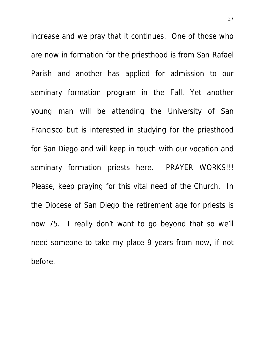increase and we pray that it continues. One of those who are now in formation for the priesthood is from San Rafael Parish and another has applied for admission to our seminary formation program in the Fall. Yet another young man will be attending the University of San Francisco but is interested in studying for the priesthood for San Diego and will keep in touch with our vocation and seminary formation priests here. PRAYER WORKS!!! Please, keep praying for this vital need of the Church. In the Diocese of San Diego the retirement age for priests is now 75. I really don't want to go beyond that so we'll need someone to take my place 9 years from now, if not before.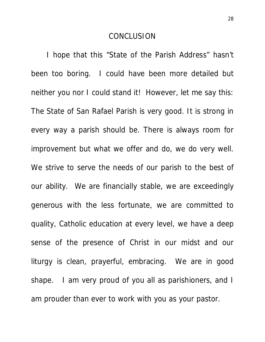### **CONCLUSION**

 I hope that this "State of the Parish Address" hasn't been too boring. I could have been more detailed but neither you nor I could stand it! However, let me say this: The State of San Rafael Parish is very good. It is strong in every way a parish should be. There is always room for improvement but what we offer and do, we do very well. We strive to serve the needs of our parish to the best of our ability. We are financially stable, we are exceedingly generous with the less fortunate, we are committed to quality, Catholic education at every level, we have a deep sense of the presence of Christ in our midst and our liturgy is clean, prayerful, embracing. We are in good shape. I am very proud of you all as parishioners, and I am prouder than ever to work with you as your pastor.